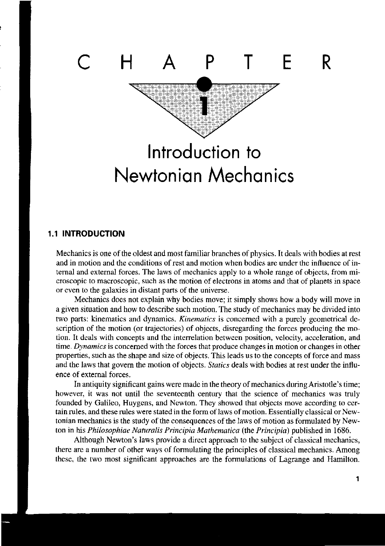# C H A R Introduction to Newtonian Mechanics

# **1.1 INTRODUCTION**

Mechanics is one of the oldest and most familiar branches of physics. It deals with bodies at rest and in motion and the conditions of rest and motion when bodies are under the influence of internal and external forces. The laws of mechanics apply to a whole range of objects, from microscopic to macroscopic, such as the motion of electrons in atoms and that of planets in space or even to the galaxies in distant parts of the universe.

Mechanics does not explain why bodies move; it simply shows how a body will move in a given situation and how to describe such motion. The study of mechanics may be divided into two parts: kinematics and dynamics. *Kinematics* is concerned with a purely geometrical description of the motion (or trajectories) of objects, disregarding the forces producing the motion. It deals with concepts and the interrelation between position, velocity, acceleration, and time. *Dynamics* is concerned with the forces that produce changes in motion or changes in other properties, such as the shape and size of objects. This leads us to the concepts of force and mass and the laws that govern the motion of objects. *Statics* deals with bodies at rest under the influence of external forces.

In antiquity significant gains were made in the theory of mechanics during Aristotle's time; however, it was not until the seventeenth century that the science of mechanics was truly founded by Galileo, Huygens, and Newton. They showed that objects move according to certain rules, and these rules were stated in the form of laws of motion. Essentially classical or Newtonian mechanics is the study of the consequences of the laws of motion as formulated by Newton in his *Philosophiae Naturalis Principia Mathematica* (the *Principia)* published in 1686.

Although Newton's laws provide a direct approach to the subject of classical mechanics, there are a number of other ways of formulating the principles of classical mechanics. Among these, the two most significant approaches are the formulations of Lagrange and Hamilton.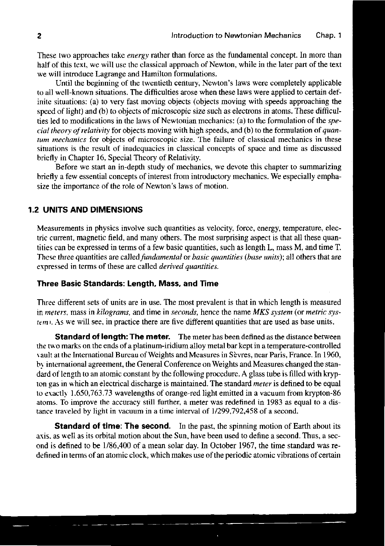These two approaches take *energy* rather than force as the fundamental concept. In more than half of this text, we will use the classical approach of Newton, while in the later part of the text we will introduce Lagrange and Hamilton formulations.

Until the beginning of the twentieth century, Newton's laws were completely applicable to all well-known situations. The difficulties arose when these laws were applied to certain definite situations: (a) to very fast moving objects (objects moving with speeds approaching the speed of light) and (b) to objects of microscopic size such as electrons in atoms. These difficulties led to modifications in the laws of Newtonian mechanics: (a) to the formulation of the *special theory of relativity* for objects moving with high speeds, and (b) to the formulation of *quantum mechanics* for objects of microscopic size. The failure of classical mechanics in these situations is the result of inadequacies in classical concepts of space and time as discussed briefly in Chapter 16, Special Theory of Relativity.

Before we start an in-depth study of mechanics, we devote this chapter to summarizing briefly a few essential concepts of interest from introductory mechanics. We especially emphasize the importance of the role of Newton's laws of motion.

# **1.2 UNITS AND DIMENSIONS**

Measurements in physics involve such quantities as velocity, force, energy, temperature, electric current, magnetic field, and many others. The most surprising aspect is that all these quantities can be expressed in terms of a few basic quantities, such as length L, mass M, and time T. These three quantities are called *fundamental* or *basic quantities (base units);* all others that are expressed in terms of these are called *derived quantities.*

#### **Three Basic Standards: Length, Mass, and Time**

Three different sets of units are in use. The most prevalent is that in which length is measured in *meters,* mass in *kilograms,* and time in *seconds,* hence the name *MKS system* (or *metric system).* As we will see, in practice there are five different quantities that are used as base units.

**Standard of length: The meter.** The meter has been defined as the distance between the two marks on the ends of a platinum-iridium alloy metal bar kept in a temperature-controlled vault at the International Bureau of Weights and Measures in Sevres, near Paris, France. In 1960, by international agreement, the General Conference on Weights and Measures changed the standard of length to an atomic constant by the following procedure. A glass tube is filled with krypton gas in which an electrical discharge is maintained. The standard *meter* is defined to be equal to exactly 1.650,763.73 wavelengths of orange-red light emitted in a vacuum from krypton-86 atoms. To improve the accuracy still further, a meter was redefined in 1983 as equal to a distance traveled by light in vacuum in a time interval of 1/299,792,458 of a second.

**Standard of time: The second.** In the past, the spinning motion of Earth about its axis, as well as its orbital motion about the Sun, have been used to define a second. Thus, a second is defined to be 1/86,400 of a mean solar day. In October 1967, the time standard was redefined in terms of an atomic clock, which makes use of the periodic atomic vibrations of certain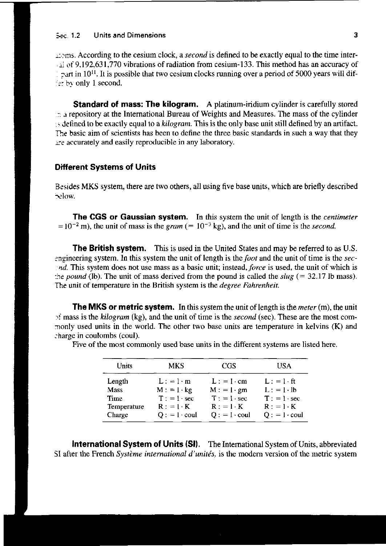#### Sec. 1.2 Units and Dimensions

\_:oms. According to the cesium clock, a *second* is defined to be exactly equal to the time interi.1 of 9,192,631,770 vibrations of radiation from cesium-133. This method has an accuracy of ; part in 10<sup>11</sup>. It is possible that two cesium clocks running over a period of 5000 years will difrer by only 1 second.

**Standard of mass: The kilogram.** A platinum-iridium cylinder is carefully stored  $\therefore$  a repository at the International Bureau of Weights and Measures. The mass of the cylinder : - defined to be exactly equal to a *kilogram.* This is the only base unit still defined by an artifact. The basic aim of scientists has been to define the three basic standards in such a way that they *•re* accurately and easily reproducible in any laboratory.

#### **Different Systems of Units**

Besides MKS system, there are two others, all using five base units, which are briefly described relow.

**The CGS or Gaussian system.** In this system the unit of length is the *centimeter*  $= 10^{-2}$  m), the unit of mass is the *gram* (=  $10^{-3}$  kg), and the unit of time is the *second*.

**The British system.** This is used in the United States and may be referred to as U.S. engineering system. In this system the unit of length is the *foot* and the unit of time is the *secnd.* This system does not use mass as a basic unit; instead, *force* is used, the unit of which is ihe *pound* (lb). The unit of mass derived from the pound is called the *slug* (= 32.17 lb mass). The unit of temperature in the British system is the *degree Fahrenheit.*

**The MKS or metric system.** In this system the unit of length is the *meter* (m), the unit ?f mass is the *kilogram* (kg), and the unit of time is the *second* (sec). These are the most commonly used units in the world. The other two base units are temperature in kelvins (K) and charge in coulombs (coul).

| Units       | <b>MKS</b>                 | CGS                        | USA               |
|-------------|----------------------------|----------------------------|-------------------|
| Length      | $L: = l \cdot m$           | $L: = l \cdot cm$          | $L: = l \cdot ft$ |
| Mass        | $M: = 1$ kg                | $M: = 1 \cdot gm$          | $L: = 1 \cdot lb$ |
| Time        | $T: = 1$ sec               | $T: = 1 \cdot \sec$        | $T: = 1$ sec      |
| Temperature | $R: = 1$ K                 | $R: = 1 \cdot K$           | $R: = 1$ K        |
| Charge      | $Q: = I \cdot \text{coul}$ | $Q: = I \cdot \text{coul}$ | $Q_i = 1$ coul    |

Five of the most commonly used base units in the different systems are listed here.

**International System of Units (SI).** The International System of Units, abbreviated SI after the French *Systeme international d'unites,* is the modern version of the metric system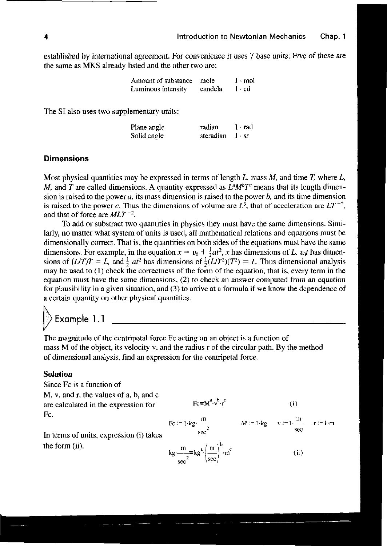established by international agreement. For convenience it uses 7 base units: Five of these are the same as MKS already listed and the other two are:

| Amount of substance | mole    | $1 \cdot$ mol |
|---------------------|---------|---------------|
| Luminous intensity  | candela | l cd          |

The SI also uses two supplementary units:

| Plane angle | radian         | l · rad |
|-------------|----------------|---------|
| Solid angle | steradian 1 sr |         |

#### **Dimensions**

Most physical quantities may be expressed in terms of length *L,* mass *M,* and time *T,* where *L, M*, and *T* are called dimensions. A quantity expressed as  $L^a M^b T^c$  means that its length dimension is raised to the power *a,* its mass dimension is raised to the power *b,* and its time dimension is raised to the power c. Thus the dimensions of volume are  $L^3$ , that of acceleration are  $LT^{-2}$ , and that of force are *MLT ~ 2 .*

To add or substract two quantities in physics they must have the same dimensions. Similarly, no matter what system of units is used, all mathematical relations and equations must be dimensionally correct. That is, the quantities on both sides of the equations must have the same dimensions. For example, in the equation  $x = v_0 + \frac{1}{2}at^2$ , x has dimensions of *L*,  $v_0 t$  has dimensions of  $(L/T)T = L$ , and  $\frac{1}{2}at^2$  has dimensions of  $\frac{1}{2}(LT^2)(T^2) = L$ . Thus dimensional analysis may be used to  $(1)$  check the correctness of the form of the equation, that is, every term in the equation must have the same dimensions, (2) to check an answer computed from an equation for plausibility in a given situation, and (3) to arrive at a formula if we know the dependence of a certain quantity on other physical quantities.

/Example 1.1

The magnitude of the centripetal force Fc acting on an object is a function of mass M of the object, its velocity v, and the radius r of the circular path. By the method of dimensional analysis, find an expression for the centripetal force.

#### **Solution**

Since Fc is a function of M, v, and r, the values of a, b, and c are calculated in the expression for Fc.

$$
\mathbf{Fc} = \mathbf{M}^{\mathbf{a}} \cdot \mathbf{v}^{\mathbf{b}} \cdot \mathbf{r}^{\mathbf{c}}
$$
 (i)

$$
\text{Fc} := 1 \cdot \text{kg} \cdot \frac{\text{m}}{\text{sec}^2} \qquad \text{M} := 1 \cdot \text{kg} \qquad \text{v} := 1 \cdot \frac{\text{m}}{\text{sec}} \qquad \text{r} := 1 \cdot \text{m}
$$

In terms of units, expression (i) takes the form (ii).

$$
kg \cdot \frac{m}{sec^2} = kg^a \cdot \left(\frac{m}{sec}\right)^b \cdot m^c
$$
 (ii)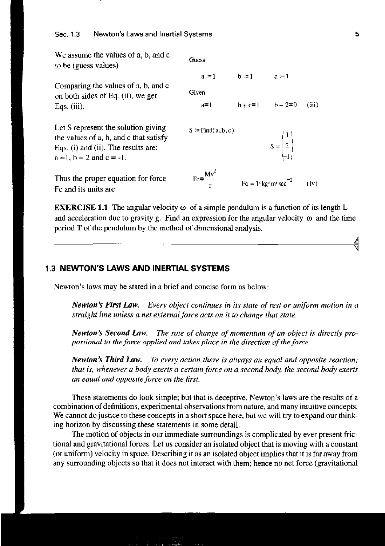We assume the values of a, b, and c to be (guess values)

Comparing the values of a, b, and c on both sides of Eq. (ii), we get Eqs. (iii).

Let S represent the solution giving the values of a, b, and c that satisfy Eqs. (i) and (ii). The results are:  $a = 1$ ,  $b = 2$  and  $c = -1$ .

Thus the proper equation for force Fc and its units are

**EXERCISE 1.1** The angular velocity  $\omega$  of a simple pendulum is a function of its length L and acceleration due to gravity g. Find an expression for the angular velocity  $\omega$  and the time period T of the pendulum by the method of dimensional analysis.

**Guess** 

Given

 $a := 1$ 

# **1.3 NEWTON'S LAWS AND INERTIAL SYSTEMS**

Newton's laws may be stated in a brief and concise form as below:

*Newton's First Law. Every object continues in its state of rest or uniform motion in a straight line unless a net external force acts on it to change that state.*

*Newton's Second Law. The rate of change of momentum of an object is directly proportional to the force applied and takes place in the direction of the force.*

*Newton's Third Law. To every action there is always an equal and opposite reaction; that is, whenever a body exerts a certain force on a second body, the second body exerts an equal and opposite force on the first.*

These statements do look simple; but that is deceptive. Newton's laws are the results of a combination of definitions, experimental observations from nature, and many intuitive concepts. We cannot do justice to these concepts in a short space here, but we will try to expand our thinking horizon by discussing these statements in some detail.

The motion of objects in our immediate surroundings is complicated by ever present frictional and gravitational forces. Let us consider an isolated object that is moving with a constant (or uniform) velocity in space. Describing it as an isolated object implies that it is far away from any surrounding objects so that it does not interact with them; hence no net force (gravitational

 $a=1$  $b + c = 1$   $b - 2 = 0$  (iii)

 $\mathbf{b} := 1$ 

 $c := 1$ 

 $S := Find(a, b, c)$  $S = \begin{pmatrix} 1 \\ 2 \\ 1 \end{pmatrix}$  $Fc = Mv$  $Fc = 1 \cdot kg \cdot m \cdot sec$  (iv)

$$
\frac{1}{\sqrt{2}}\left(\frac{1}{\sqrt{2}}\right)^{2}+\frac{1}{\sqrt{2}}\left(\frac{1}{\sqrt{2}}\right)^{2}+\frac{1}{\sqrt{2}}\left(\frac{1}{\sqrt{2}}\right)^{2}+\frac{1}{\sqrt{2}}\left(\frac{1}{\sqrt{2}}\right)^{2}+\frac{1}{\sqrt{2}}\left(\frac{1}{\sqrt{2}}\right)^{2}+\frac{1}{\sqrt{2}}\left(\frac{1}{\sqrt{2}}\right)^{2}+\frac{1}{\sqrt{2}}\left(\frac{1}{\sqrt{2}}\right)^{2}+\frac{1}{\sqrt{2}}\left(\frac{1}{\sqrt{2}}\right)^{2}+\frac{1}{\sqrt{2}}\left(\frac{1}{\sqrt{2}}\right)^{2}+\frac{1}{\sqrt{2}}\left(\frac{1}{\sqrt{2}}\right)^{2}+\frac{1}{\sqrt{2}}\left(\frac{1}{\sqrt{2}}\right)^{2}+\frac{1}{\sqrt{2}}\left(\frac{1}{\sqrt{2}}\right)^{2}+\frac{1}{\sqrt{2}}\left(\frac{1}{\sqrt{2}}\right)^{2}+\frac{1}{\sqrt{2}}\left(\frac{1}{\sqrt{2}}\right)^{2}+\frac{1}{\sqrt{2}}\left(\frac{1}{\sqrt{2}}\right)^{2}+\frac{1}{\sqrt{2}}\left(\frac{1}{\sqrt{2}}\right)^{2}+\frac{1}{\sqrt{2}}\left(\frac{1}{\sqrt{2}}\right)^{2}+\frac{1}{\sqrt{2}}\left(\frac{1}{\sqrt{2}}\right)^{2}+\frac{1}{\sqrt{2}}\left(\frac{1}{\sqrt{2}}\right)^{2}+\frac{1}{\sqrt{2}}\left(\frac{1}{\sqrt{2}}\right)^{2}+\frac{1}{\sqrt{2}}\left(\frac{1}{\sqrt{2}}\right)^{2}+\frac{1}{\sqrt{2}}\left(\frac{1}{\sqrt{2}}\right)^{2}+\frac{1}{\sqrt{2}}\left(\frac{1}{\sqrt{2}}\right)^{2}+\frac{1}{\sqrt{2}}\left(\frac{1}{\sqrt{2}}\right)^{2}+\frac{1}{\sqrt{2}}\left(\frac{1}{\sqrt{2}}\right)^{2}+\frac{1}{\sqrt{2}}\left(\frac{1}{\sqrt{2}}\right)^{2}+\frac{1}{\sqrt{2}}\left(\frac{1}{\sqrt{2}}\right)^{2}+\frac{1
$$

5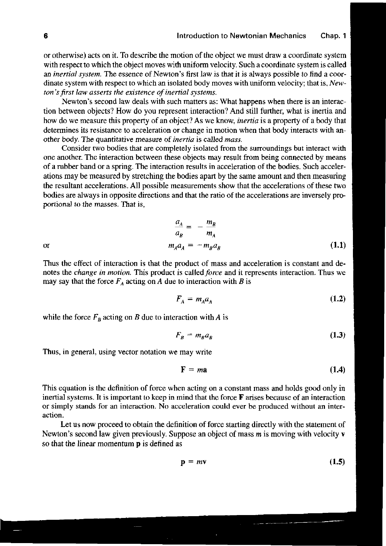or otherwise) acts on it. To describe the motion of the object we must draw a coordinate system with respect to which the object moves with uniform velocity. Such a coordinate system is called an *inertial system.* The essence of Newton's first law is that it is always possible to find a coordinate system with respect to which an isolated body moves with uniform velocity; that is, *Newton's first law asserts the existence of inertial systems.*

Newton's second law deals with such matters as: What happens when there is an interaction between objects? How do you represent interaction? And still further, what is inertia and how do we measure this property of an object? As we know, *inertia* is a property of a body that determines its resistance to acceleration or change in motion when that body interacts with another body. The quantitative measure of *inertia* is called *mass.*

Consider two bodies that are completely isolated from the surroundings but interact with one another. The interaction between these objects may result from being connected by means of a rubber band or a spring. The interaction results in acceleration of the bodies. Such accelerations may be measured by stretching the bodies apart by the same amount and then measuring the resultant accelerations. All possible measurements show that the accelerations of these two bodies are always in opposite directions and that the ratio of the accelerations are inversely proportional to the masses. That is,

$$
\frac{a_A}{a_B} = -\frac{m_B}{m_A}
$$
  

$$
m_A a_A = -m_B a_B
$$
 (1.1)

Thus the effect of interaction is that the product of mass and acceleration is constant and denotes the *change in motion.* This product is called *force* and it represents interaction. Thus we may say that the force  $F_A$  acting on A due to interaction with B is

$$
F_A = m_A a_A \tag{1.2}
$$

while the force  $F_B$  acting on *B* due to interaction with *A* is

$$
F_B = m_B a_B \tag{1.3}
$$

Thus, in general, using vector notation we may write

$$
\mathbf{F} = m\mathbf{a} \tag{1.4}
$$

This equation is the definition of force when acting on a constant mass and holds good only in inertial systems. It is important to keep in mind that the force F arises because of an interaction or simply stands for an interaction. No acceleration could ever be produced without an interaction.

Let us now proceed to obtain the definition of force starting directly with the statement of Newton's second law given previously. Suppose an object of mass *m* is moving with velocity v so that the linear momentum p is defined as

$$
\mathbf{p} = m\mathbf{v} \tag{1.5}
$$

**or**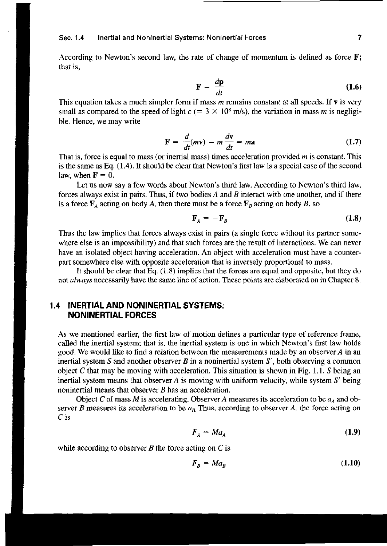#### Sec. 1.4 Inertial and Noninertial Systems: Noninertial Forces 7

According to Newton's second law, the rate of change of momentum is defined as force  $\mathbf{F}$ ; that is,

$$
\mathbf{F} = \frac{d\mathbf{p}}{dt} \tag{1.6}
$$

This equation takes a much simpler form if mass *m* remains constant at all speeds. If v is very small as compared to the speed of light  $c = 3 \times 10^8$  m/s), the variation in mass m is negligible. Hence, we may write

$$
\mathbf{F} = \frac{d}{dt}(m\mathbf{v}) = m\frac{d\mathbf{v}}{dt} = m\mathbf{a}
$$
 (1.7)

That is, force is equal to mass (or inertial mass) times acceleration provided *m* is constant. This is the same as Eq. (1.4). It should be clear that Newton's first law is a special case of the second law, when  $\mathbf{F} = 0$ .

Let us now say a few words about Newton's third law. According to Newton's third law, forces always exist in pairs. Thus, if two bodies *A* and *B* interact with one another, and if there is a force  $\mathbf{F}_A$  acting on body A, then there must be a force  $\mathbf{F}_B$  acting on body B, so

$$
\mathbf{F}_A = -\mathbf{F}_B \tag{1.8}
$$

Thus the law implies that forces always exist in pairs (a single force without its partner somewhere else is an impossibility) and that such forces are the result of interactions. We can never have an isolated object having acceleration. An object with acceleration must have a counterpart somewhere else with opposite acceleration that is inversely proportional to mass.

It should be clear that Eq. (1.8) implies that the forces are equal and opposite, but they do not *always* necessarily have the same line of action. These points are elaborated on in Chapter 8.

# **1.4 INERTIAL AND NONINERTIAL SYSTEMS: NONINERTIAL FORCES**

As we mentioned earlier, the first law of motion defines a particular type of reference frame, called the inertial system; that is, the inertial system is one in which Newton's first law holds good. We would like to find a relation between the measurements made by an observer *A* in an inertial system *S* and another observer *B* in a noninertial system 5", both observing a common object  $C$  that may be moving with acceleration. This situation is shown in Fig. 1.1.  $S$  being an inertial system means that observer *A* is moving with uniform velocity, while system *S'* being noninertial means that observer *B* has an acceleration.

Object C of mass M is accelerating. Observer A measures its acceleration to be  $a_A$  and observer *B* measures its acceleration to be  $a_B$ . Thus, according to observer *A*, the force acting on Cis

$$
F_A = Ma_A \tag{1.9}
$$

while according to observer *B* the force acting on *C* is

$$
F_B = Ma_B \tag{1.10}
$$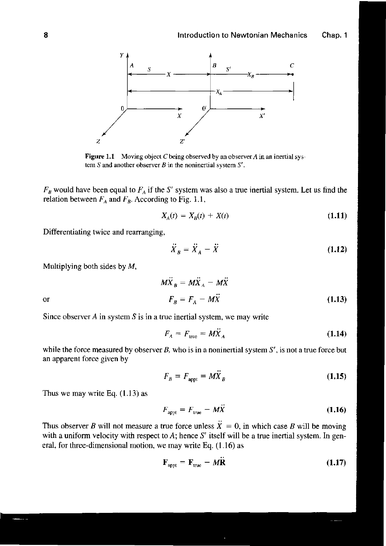

**Figure 1.1** Moving object C being observed by an observer A in an inertial system *S* and another observer *B* in the noninertial system *S'.*

*FB* would have been equal to *FA* if the *S'* system was also a true inertial system. Let us find the relation between  $F_A$  and  $F_B$ . According to Fig. 1.1,

$$
X_A(t) = X_B(t) + X(t)
$$
 (1.11)

Differentiating twice and rearranging,

$$
\ddot{X}_B = \ddot{X}_A - \ddot{X} \tag{1.12}
$$

Multiplying both sides by *M,*

$$
M\ddot{X}_B = M\ddot{X}_A - M\ddot{X}
$$
  
or  

$$
F_B = F_A - M\ddot{X}
$$
 (1.13)

Since observer *A* in system *S* is in a true inertial system, we may write

$$
F_A = F_{\text{true}} = M\ddot{X}_A \tag{1.14}
$$

while the force measured by observer *B,* who is in a noninertial system *S'*, is not a true force but an apparent force given by

$$
F_B = F_{\text{appt}} = M\ddot{X}_B \tag{1.15}
$$

Thus we may write Eq. (1.13) as

$$
F_{\text{appt}} = F_{\text{true}} - M\ddot{X} \tag{1.16}
$$

Thus observer *B* will not measure a true force unless  $\ddot{X} = 0$ , in which case *B* will be moving with a uniform velocity with respect to *A;* hence *S'* itself will be a true inertial system. In general, for three-dimensional motion, we may write Eq. (1.16) as

$$
\mathbf{F}_{\text{appt}} = \mathbf{F}_{\text{true}} - M\dot{\mathbf{R}} \tag{1.17}
$$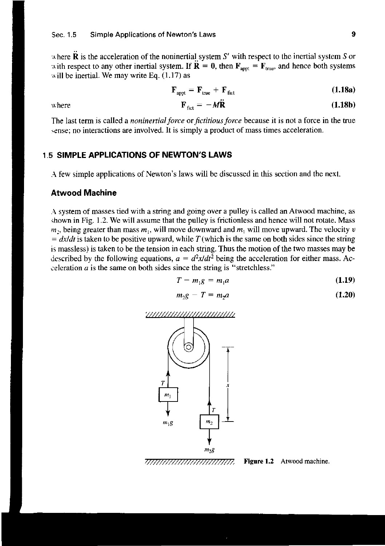where  $\ddot{\mathbf{R}}$  is the acceleration of the noninertial system S' with respect to the inertial system S or with respect to any other inertial system. If  $\mathbf{R} = \mathbf{0}$ , then  $\mathbf{F}_{\text{appt}} = \mathbf{F}_{\text{true}}$ , and hence both systems will be inertial. We may write Eq.  $(1.17)$  as

$$
\mathbf{F}_{\text{appt}} = \mathbf{F}_{\text{true}} + \mathbf{F}_{\text{fict}} \tag{1.18a}
$$

where

$$
\mathbf{F}_{\text{fict}} = -M\ddot{\mathbf{R}} \tag{1.18b}
$$

The last term is called a *noninertial force* or *fictitious force* because it is not a force in the true -ense; no interactions are involved. It is simply a product of mass times acceleration.

## **1 5 SIMPLE APPLICATIONS OF NEWTON'S LAWS**

A few simple applications of Newton's laws will be discussed in this section and the next.

#### **Atwood Machine**

A system of masses tied with a string and going over a pulley is called an Atwood machine, as shown in Fig. 1.2. We will assume that the pulley is frictionless and hence will not rotate. Mass  $m_2$ , being greater than mass  $m_1$ , will move downward and  $m_1$  will move upward. The velocity *v*  $= dx/dt$  is taken to be positive upward, while T (which is the same on both sides since the string is massless) is taken to be the tension in each string. Thus the motion of the two masses may be described by the following equations,  $a = d^2x/dt^2$  being the acceleration for either mass. Acceleration *a* is the same on both sides since the string is "stretchless."

$$
T - m_1 g = m_1 a \tag{1.19}
$$

$$
m_2g - T = m_2a \tag{1.20}
$$



///////////////////////////// Figure 1.2 Atwood machine.

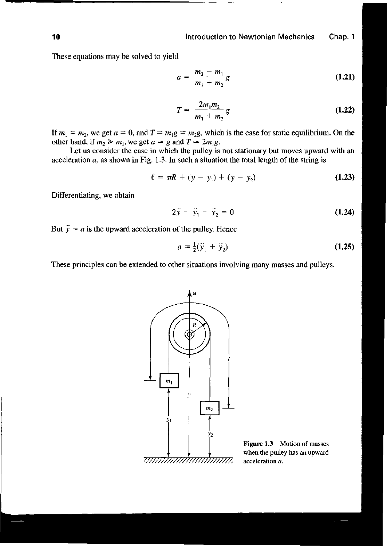#### 10 **10** Introduction to Newtonian Mechanics Chap. 1

These equations may be solved to yield

$$
a = \frac{m_2 - m_1}{m_1 + m_2} g \tag{1.21}
$$

$$
T = \frac{2m_1m_2}{m_1 + m_2}g
$$
 (1.22)

If  $m_1 = m_2$ , we get  $a = 0$ , and  $T = m_1 g = m_2 g$ , which is the case for static equilibrium. On the other hand, if  $m_2 \ge m_1$ , we get  $a \simeq g$  and  $T \simeq 2m_1g$ .

Let us consider the case in which the pulley is not stationary but moves upward with an acceleration *a,* as shown in Fig. 1.3. In such a situation the total length of the string is

$$
\ell = \pi R + (y - y_1) + (y - y_2) \tag{1.23}
$$

Differentiating, we obtain

$$
2\ddot{y} - \ddot{y}_1 - \ddot{y}_2 = 0 \tag{1.24}
$$

But  $\ddot{y} = a$  is the upward acceleration of the pulley. Hence

$$
a = \frac{1}{2}(\ddot{y}_1 + \ddot{y}_2) \tag{1.25}
$$

These principles can be extended to other situations involving many masses and pulleys.



Figure 1.3 Motion of masses when the pulley has an upward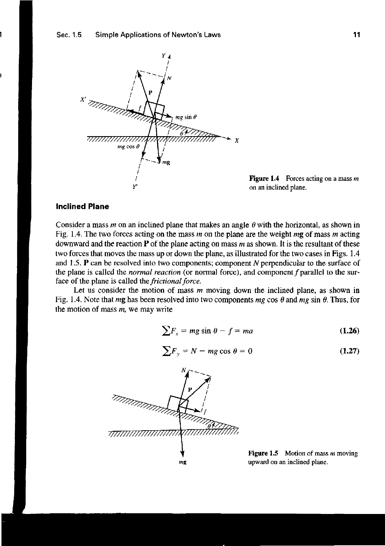

**Figure 1.4** Forces acting on a mass *m* on an inclined plane.

#### **Inclined Plane**

Consider a mass *m* on an inclined plane that makes an angle *6* with the horizontal, as shown in Fig. 1.4. The two forces acting on the mass *m* on the plane are the weight *mg* of mass *m* acting downward and the reaction P of the plane acting on mass *m* as shown. It is the resultant of these two forces that moves the mass up or down the plane, as illustrated for the two cases in Figs. 1.4 and 1.5. P can be resolved into two components; component *N* perpendicular to the surface of the plane is called the *normal reaction* (or normal force), and component f parallel to the surface of the plane is called the *frictional force.*

Let us consider the motion of mass  $m$  moving down the inclined plane, as shown in Fig. 1.4. Note that *mg* has been resolved into two components *mg* cos *8* and *mg* sin *6.* Thus, for the motion of mass *m,* we may write

$$
\sum F_x = mg \sin \theta - f = ma \tag{1.26}
$$

$$
\sum F_{v} = N - mg \cos \theta = 0 \tag{1.27}
$$



**Figure 1.5** Motion of mass *m* moving upward on an inclined plane.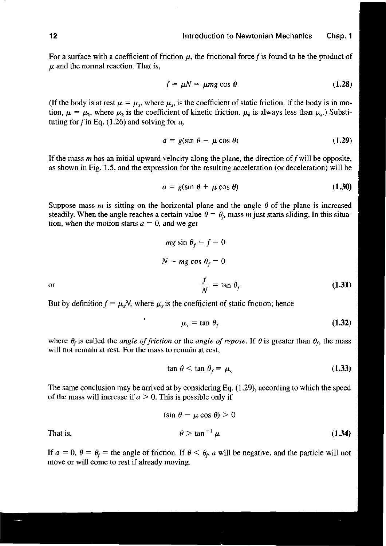For a surface with a coefficient of friction  $\mu$ , the frictional force f is found to be the product of  $\mu$  and the normal reaction. That is,

$$
f = \mu N = \mu mg \cos \theta \qquad (1.28)
$$

(If the body is at rest  $\mu = \mu_s$ , where  $\mu_s$ , is the coefficient of static friction. If the body is in motion,  $\mu = \mu_k$ , where  $\mu_k$  is the coefficient of kinetic friction.  $\mu_k$  is always less than  $\mu_s$ .) Substituting for f in Eq.  $(1.26)$  and solving for a,

$$
a = g(\sin \theta - \mu \cos \theta) \tag{1.29}
$$

If the mass  $m$  has an initial upward velocity along the plane, the direction of  $f$  will be opposite, as shown in Fig. 1.5, and the expression for the resulting acceleration (or deceleration) will be

$$
a = g(\sin \theta + \mu \cos \theta) \tag{1.30}
$$

Suppose mass *m* is sitting on the horizontal plane and the angle  $\theta$  of the plane is increased steadily. When the angle reaches a certain value  $\theta = \theta_f$ , mass m just starts sliding. In this situation, when the motion starts  $a = 0$ , and we get

$$
mg \sin \theta_f - f = 0
$$
  

$$
N - mg \cos \theta_f = 0
$$
  
or 
$$
\frac{f}{N} = \tan \theta_f
$$
 (1.31)

But by definition  $f = \mu_s N$ , where  $\mu_s$  is the coefficient of static friction; hence

$$
\mu_s = \tan \theta_f \tag{1.32}
$$

where  $\theta_f$  is called the *angle of friction* or the *angle of repose*. If  $\theta$  is greater than  $\theta_f$ , the mass will not remain at rest. For the mass to remain at rest,

$$
\tan \theta < \tan \theta_f = \mu_s \tag{1.33}
$$

The same conclusion may be arrived at by considering Eq. (1.29), according to which the speed of the mass will increase if *a >* 0. This is possible only if

$$
(\sin \theta - \mu \cos \theta) > 0
$$
  
That is,  $\theta > \tan^{-1} \mu$  (1.34)

If  $a = 0$ ,  $\theta = \theta_f$  = the angle of friction. If  $\theta \le \theta_f$ , a will be negative, and the particle will not move or will come to rest if already moving.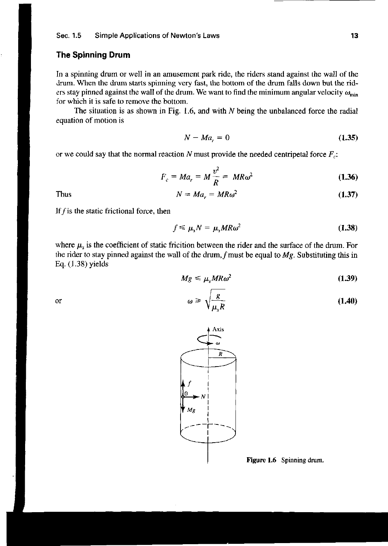#### **The Spinning Drum**

In a spinning drum or well in an amusement park ride, the riders stand against the wall of the drum. When the drum starts spinning very fast, the bottom of the drum falls down but the riders stay pinned against the wall of the drum. We want to find the minimum angular velocity  $\omega_{min}$ for which it is safe to remove the bottom.

The situation is as shown in Fig. 1.6, and with *N* being the unbalanced force the radial equation of motion is

$$
N - Ma_r = 0 \tag{1.35}
$$

or we could say that the normal reaction *N* must provide the needed centripetal force *Fc:*

$$
F_c = Ma_r = M\frac{v^2}{R} = MR\omega^2 \tag{1.36}
$$

Thus

If  $f$  is the static frictional force, then

$$
f \le \mu_s N = \mu_s MR\omega^2 \tag{1.38}
$$

where  $\mu_s$  is the coefficient of static fricition between the rider and the surface of the drum. For the rider to stay pinned against the wall of the drum,  $f$  must be equal to  $Mg$ . Substituting this in Eq. (1.38) yields

 $N = Ma_r = MR\omega^2$ 

$$
Mg \leq \mu_s MR\omega^2 \tag{1.39}
$$

$$
\omega \ge \sqrt{\frac{g}{\mu_s R}} \tag{1.40}
$$



Figure 1.6 Spinning drum.

**(1.37)**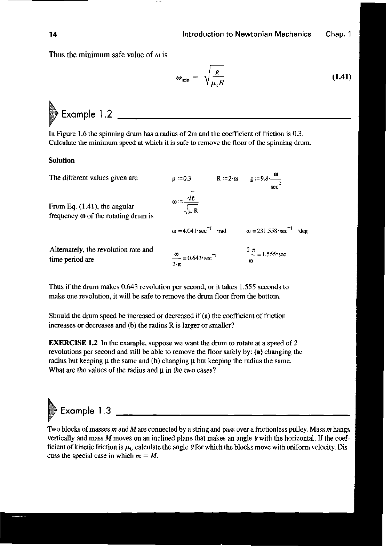Thus the minimum safe value of *co* is

$$
\omega_{\min} = \sqrt{\frac{g}{\mu_s R}} \tag{1.41}
$$

$$
\triangleright \text{Example 1.2} \underline{\hspace{1.5cm} \underline{\hspace{1.5cm}}}
$$

In Figure 1.6 the spinning drum has a radius of 2m and the coefficient of friction is 0.3. Calculate the minimum speed at which it is safe to remove the floor of the spinning drum.

#### **Solution**

The different values given are  $\mu := 0.3$  R :=2m g:=9.8  $\frac{m}{\lambda}$ 

From Eq. (1.41), the angular frequency  $\omega$  of the rotating drum is  $\omega := \frac{\sqrt{g}}{\sqrt{g}}$ 

 $\frac{\infty}{2 \cdot \pi} = 0.643 \text{ sec}^{-1}$ 

 $\omega = 4.041 \text{°sec}^{-1}$  'rad  $\omega = 231.558 \text{°sec}^{-1}$  'deg

 $\frac{2 \cdot \pi}{\omega} = 1.555$ <sup>\*</sup> sec

sec

Alternately, the revolution rate and time period are

Thus if the drum makes 0.643 revolution per second, or it takes 1.555 seconds to make one revolution, it will be safe to remove the drum floor from the bottom.

Should the drum speed be increased or decreased if (a) the coefficient of friction increases or decreases and (b) the radius R is larger or smaller?

**EXERCISE 1.2** In the example, suppose we want the drum to rotate at a speed of 2 revolutions per second and still be able to remove the floor safely by: (a) changing the radius but keeping  $\mu$  the same and (b) changing  $\mu$  but keeping the radius the same. What are the values of the radius and  $\mu$  in the two cases?



Two blocks of masses *m* and *M* are connected by a string and pass over a frictionless pulley. Mass *m* hangs vertically and mass *M* moves on an inclined plane that makes an angle *8* with the horizontal. If the coefficient of kinetic friction is  $\mu_k$  calculate the angle  $\theta$  for which the blocks move with uniform velocity. Discuss the special case in which  $m = M$ .

$$
14
$$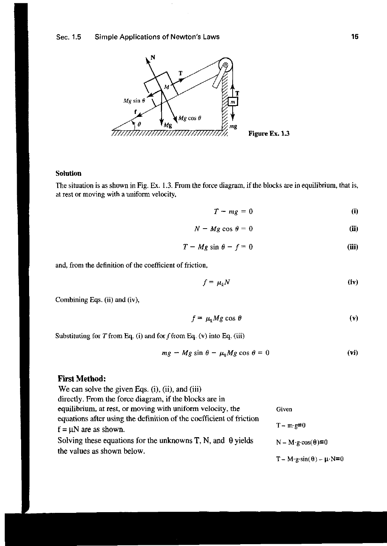#### Sec. 1.5 Simple Applications of Newton's Laws 15 15



#### **Solution**

The situation is as shown in Fig. Ex. 1.3. From the force diagram, if the blocks are in equilibrium, that is, at rest or moving with a uniform velocity,

$$
T - mg = 0 \tag{i}
$$

$$
N - Mg \cos \theta = 0 \tag{ii}
$$

$$
T - Mg \sin \theta - f = 0 \tag{iii}
$$

and, from the definition of the coefficient of friction,

$$
f = \mu_k N \tag{iv}
$$

Combining Eqs. (ii) and (iv),

$$
f = \mu_k M g \cos \theta \tag{v}
$$

Substituting for  $T$  from Eq. (i) and for  $f$  from Eq. (v) into Eq. (iii)

$$
mg - Mg \sin \theta - \mu_k Mg \cos \theta = 0 \tag{vi}
$$

# **First Method:**

| We can solve the given Eqs. (i), (ii), and (iii)                      |                                                      |
|-----------------------------------------------------------------------|------------------------------------------------------|
| directly. From the force diagram, if the blocks are in                |                                                      |
| equilibrium, at rest, or moving with uniform velocity, the            | Given                                                |
| equations after using the definition of the coefficient of friction   |                                                      |
| $f = \mu N$ are as shown.                                             | $T - m \cdot g = 0$                                  |
| Solving these equations for the unknowns $T$ , N, and $\theta$ yields | $N - M \cdot g \cdot \cos(\theta) = 0$               |
| the values as shown below.                                            |                                                      |
|                                                                       | $T - M \cdot g \cdot \sin(\theta) - \mu \cdot N = 0$ |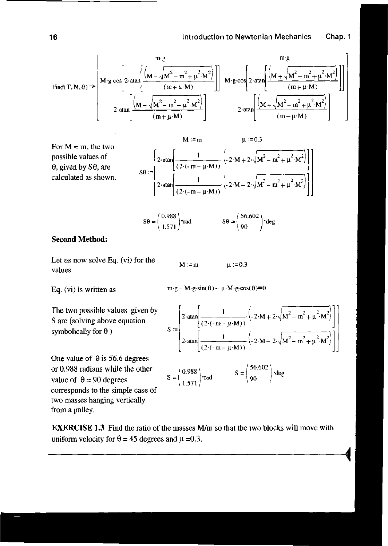$\mu := 0.3$ 

$$
Find(T, N, \theta) \Rightarrow \left[M \cdot g \cdot \cos\left[2 \cdot \operatorname{atan}\left[\frac{\left(M - \sqrt{M^2 - m^2 + \mu^2 \cdot M^2}\right)}{(m + \mu \cdot M)}\right]\right] M \cdot g \cdot \cos\left[2 \cdot \operatorname{atan}\left[\frac{\left(M + \sqrt{M^2 - m^2 + \mu^2 \cdot M^2}\right)}{(m + \mu \cdot M)}\right]\right]\right]
$$
\n
$$
2 \cdot \operatorname{atan}\left[\frac{\left(M - \sqrt{M^2 - m^2 + \mu^2 \cdot M^2}\right)}{(m + \mu \cdot M)}\right]
$$
\n
$$
2 \cdot \operatorname{atan}\left[\frac{\left(M + \sqrt{M^2 - m^2 + \mu^2 \cdot M^2}\right)}{(m + \mu \cdot M)}\right]
$$

 $M := m$ 

2-atari

2-atari

For  $M = m$ , the two possible values of  $\theta$ , given by S $\theta$ , are calculated as shown.

or M = m, the two  
possible values of  
, given by S
$$
\theta
$$
, are  
alculated as shown.

$$
S\theta = \begin{pmatrix} 0.988 \\ 1.571 \end{pmatrix} \text{rad} \qquad S\theta = \begin{pmatrix} 56.602 \\ 90 \end{pmatrix} \text{deg}
$$

# **Second Method:**

Let us now solve Eq. (vi) for the values

Eq. (vi) is written as

The two possible values given by S are (solving above equation symbolically for  $\theta$ )

One value of  $\theta$  is 56.6 degrees or 0.988 radians while the other value of  $\theta = 90$  degrees corresponds to the simple case of two masses hanging vertically from a pulley.

$$
S := \begin{bmatrix} 2 \cdot \operatorname{atan} \left[ \frac{1}{(2 \cdot (-m - \mu \cdot M))} \cdot \left( -2 \cdot M + 2 \cdot \sqrt{M^2 - m^2 + \mu^2 \cdot M^2} \right) \right] \\ 2 \cdot \operatorname{atan} \left[ \frac{1}{(2 \cdot (-m - \mu \cdot M))} \cdot \left( -2 \cdot M - 2 \cdot \sqrt{M^2 - m^2 + \mu^2 \cdot M^2} \right) \right] \\ S = \begin{pmatrix} 0.988 \\ 1.571 \end{pmatrix} \cdot \operatorname{rad} \qquad S = \begin{pmatrix} 56.602 \\ 90 \end{pmatrix} \cdot \operatorname{deg} \end{bmatrix}
$$

**EXERCISE 1.3** Find the ratio of the masses M/m so that the two blocks will move with uniform velocity for  $\theta = 45$  degrees and  $\mu = 0.3$ .

$$
M:=m\qquad \qquad \mu:=0.3
$$

$$
m \cdot g - M \cdot g \cdot sin(\theta) - \mu \cdot M \cdot g \cdot cos(\theta) = 0
$$

$$
\sqrt{90}
$$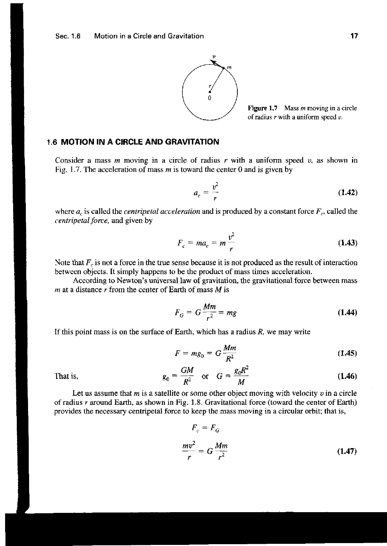

Figure 1.7 Mass *m* moving in a circle of radius *r* with a uniform speed *v.*

# **1.6 MOTION IN A CIRCLE AND GRAVITATION**

Consider a mass *m* moving in a circle of radius *r* with a uniform speed *v,* as shown in Fig. 1.7. The acceleration of mass *m* is toward the center 0 and is given by

$$
a_c = \frac{v^2}{r} \tag{1.42}
$$

where  $a_c$  is called the *centripetal acceleration* and is produced by a constant force  $F_c$ , called the *centripetal force,* and given by

$$
F_c = ma_c = m\frac{v^2}{r}
$$
 (1.43)

Note that  $F_c$  is not a force in the true sense because it is not produced as the result of interaction between objects. It simply happens to be the product of mass times acceleration.

According to Newton's universal law of gravitation, the gravitational force between mass *m* at a distance *r* from the center of Earth of mass *M* is

$$
F_G = G \frac{Mm}{r^2} = mg \tag{1.44}
$$

If this point mass is on the surface of Earth, which has a radius *R,* we may write

$$
F = mg_0 = G \frac{Mm}{R^2} \tag{1.45}
$$

$$
g_0 = \frac{GM}{R^2} \quad \text{or} \quad G = \frac{g_0 R^2}{M} \tag{1.46}
$$

That is,

Let us assume that *m* is a satellite or some other object moving with velocity *v* in a circle of radius *r* around Earth, as shown in Fig. 1.8. Gravitational force (toward the center of Earth) provides the necessary centripetal force to keep the mass moving in a circular orbit; that is,

$$
F_c = F_G
$$
  

$$
\frac{mv^2}{r} = G \frac{Mm}{r^2}
$$
 (1.47)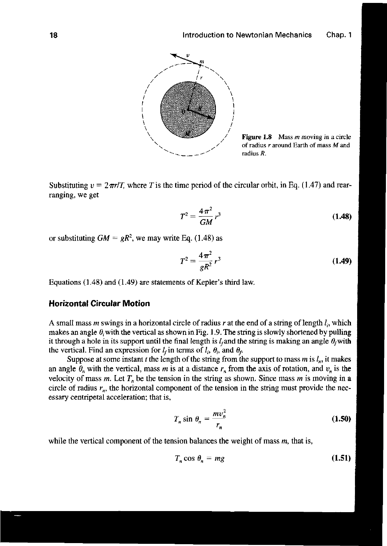

**Figure 1.8** Mass *m* moving in a circle / of radius *r* around Earth of mass *M* and radius *R.*

Substituting  $v = 2\pi r/T$ , where T is the time period of the circular orbit, in Eq. (1.47) and rearranging, we get

$$
T^2 = \frac{4\pi^2}{GM}r^3\tag{1.48}
$$

or substituting  $GM = gR^2$ , we may write Eq. (1.48) as

$$
T^2 = \frac{4\pi^2}{gR^2} r^3
$$
 (1.49)

Equations (1.48) and (1.49) are statements of Kepler's third law.

#### **Horizontal Circular Motion**

A small mass *m* swings in a horizontal circle of radius *r* at the end of a string of length /,, which makes an angle  $\theta$ , with the vertical as shown in Fig. 1.9. The string is slowly shortened by pulling it through a hole in its support until the final length is  $l_f$  and the string is making an angle  $\theta_f$  with the vertical. Find an expression for  $l_f$  in terms of  $l_i$ ,  $\theta_i$ , and  $\theta_f$ .

Suppose at some instant *t* the length of the string from the support to mass  $m$  is  $l_n$ , it makes an angle  $\hat{\theta}_n$  with the vertical, mass *m* is at a distance  $r_n$  from the axis of rotation, and  $v_n$  is the velocity of mass m. Let  $T<sub>n</sub>$  be the tension in the string as shown. Since mass m is moving in a circle of radius  $r_n$ , the horizontal component of the tension in the string must provide the necessary centripetal acceleration; that is,

$$
T_n \sin \theta_n = \frac{mv_n^2}{r_n} \tag{1.50}
$$

while the vertical component of the tension balances the weight of mass  $m$ , that is,

$$
T_n \cos \theta_n = mg \tag{1.51}
$$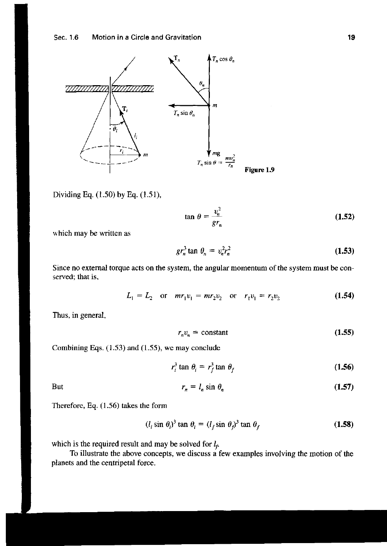

Dividing Eq. (1.50) by Eq. (1.51),

$$
\tan \theta = \frac{v_n^2}{gr_n} \tag{1.52}
$$

which may be written as

$$
gr_n^3 \tan \theta_n = v_n^2 r_n^2 \tag{1.53}
$$

Since no external torque acts on the system, the angular momentum of the system must be conserved; that is,

$$
L_1 = L_2 \quad \text{or} \quad mr_1v_1 = mr_2v_2 \quad \text{or} \quad r_1v_1 = r_2v_2 \tag{1.54}
$$

Thus, in general,

$$
r_n v_n = \text{constant} \tag{1.55}
$$

Combining Eqs. (1.53) and (1.55), we may conclude

$$
r_i^3 \tan \theta_i = r_f^3 \tan \theta_f \tag{1.56}
$$

But

$$
r_n = l_n \sin \theta_n \tag{1.57}
$$

Therefore, Eq. (1.56) takes the form

$$
(l_i \sin \theta_i)^3 \tan \theta_i = (l_f \sin \theta_i)^3 \tan \theta_f \tag{1.58}
$$

which is the required result and may be solved for *l<sup>f</sup> .*

To illustrate the above concepts, we discuss a few examples involving the motion of the planets and the centripetal force.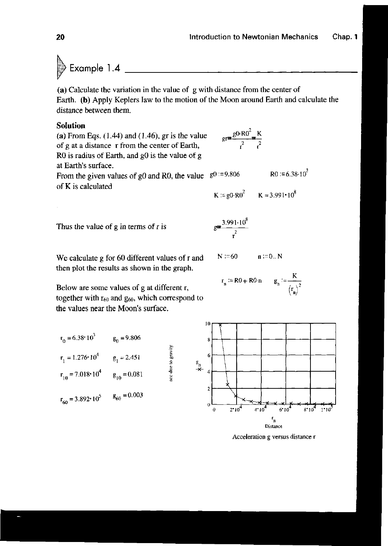

(a) Calculate the variation in the value of g with distance from the center of Earth, (b) Apply Keplers law to the motion of the Moon around Earth and calculate the distance between them.

# **Solution**

(a) From Eqs.  $(1.44)$  and  $(1.46)$ , gr is the value of  $g$  at a distance  $r$  from the center of Earth, R0 is radius of Earth, and gO is the value of g at Earth's surface.

From the given values of g0 and R0, the value  $g0 := 9.806$  $R0 := 6.38 \cdot 10^3$ of K is calculated

icc due to gravity

 $K = g0 \cdot R0^2$   $K = 3.991 \cdot 10^8$ 

 $g = \frac{3.991 \cdot 10^8}{a^2}$ 

 $R_0^2$   $\equiv$   $K$ 

 $r^2$ 

Thus the value of  $g$  in terms of  $r$  is

We calculate g for 60 different values of r and 
$$
N := 60
$$
  $n := 0..N$  then plot the results as shown in the graph.

$$
\mathbf{r}_n := \mathbf{R} \mathbf{0} + \mathbf{R} \mathbf{0} \cdot \mathbf{n} \qquad \mathbf{g}_n := \frac{\mathbf{K}}{\left(\mathbf{r}_n\right)^2}
$$

Below are some values of g at different r, together with  $r_{60}$  and  $g_{60}$ , which correspond to the values near the Moon's surface.

- $r_0 = 6.38 \cdot 10^3$   $g_0 = 9.806$  $r_1 = 1.276 \cdot 10^4$  g<sub>1</sub> = 2.451
- $r_{10} = 7.018 \cdot 10^4$   $g_{10} = 0.081$
- $r_{\epsilon 0} = 3.892 \cdot 10^5$   $g_{60} = 0.003$



Acceleration g versus distance r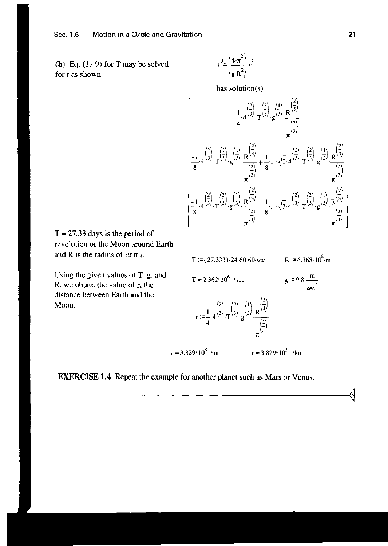(b) Eq.  $(1.49)$  for T may be solved for r as shown.

$$
T^2 = \left(\frac{4 \cdot \pi^2}{g \cdot R^2}\right) \cdot r^3
$$

has solution(s)

$$
\left[\begin{array}{c}1-\frac{2}{4}\left(\frac{2}{3}\right)\right]_{2}\left(\frac{1}{3}\right)\left(\frac{1}{3}\right)\left(\frac{2}{3}\right)\left(\frac{1}{3}\right)\left(\frac{2}{3}\right)\left(\frac{1}{3}\right)\left(\frac{2}{3}\right)\left(\frac{1}{3}\right)\left(\frac{2}{3}\right)\left(\frac{1}{3}\right)\left(\frac{2}{3}\right)\left(\frac{1}{3}\right)\left(\frac{2}{3}\right)\left(\frac{1}{3}\right)\left(\frac{2}{3}\right)\left(\frac{1}{3}\right)\left(\frac{2}{3}\right)\left(\frac{1}{3}\right)\left(\frac{2}{3}\right)\left(\frac{1}{3}\right)\left(\frac{2}{3}\right)\left(\frac{1}{3}\right)\left(\frac{2}{3}\right)\left(\frac{1}{3}\right)\left(\frac{2}{3}\right)\left(\frac{1}{3}\right)\left(\frac{2}{3}\right)\left(\frac{1}{3}\right)\left(\frac{2}{3}\right)\left(\frac{1}{3}\right)\left(\frac{2}{3}\right)\left(\frac{1}{3}\right)\left(\frac{2}{3}\right)\left(\frac{1}{3}\right)\left(\frac{2}{3}\right)\left(\frac{1}{3}\right)\left(\frac{2}{3}\right)\left(\frac{1}{3}\right)\left(\frac{2}{3}\right)\left(\frac{1}{3}\right)\left(\frac{2}{3}\right)\left(\frac{1}{3}\right)\left(\frac{2}{3}\right)\left(\frac{1}{3}\right)\left(\frac{2}{3}\right)\left(\frac{1}{3}\right)\left(\frac{2}{3}\right)\left(\frac{1}{3}\right)\left(\frac{2}{3}\right)\left(\frac{1}{3}\right)\left(\frac{2}{3}\right)\left(\frac{1}{3}\right)\left(\frac{2}{3}\right)\left(\frac{1}{3}\right)\left(\frac{2}{3}\right)\left(\frac{1}{3}\right)\left(\frac{2}{3}\right)\left(\frac{1}{3}\right)\left(\frac{2}{3}\right)\left(\frac{1}{3}\right)\left(\frac{2}{3}\right)\left(\frac{1}{3}\right)\left(\frac{2}{3}\right)\left(\frac{1}{3}\right)\left(\frac{2}{3}\right)\left(\frac{2}{3}\right)\left(\frac{2}{3}\right)\left(\frac{2}{3}\right)\left(\frac{2}{3}\right)\left(\frac{2}{3}\right)\left(\frac{2}{3}\right)\left(\frac{2}{3}\right)\left(\frac{2}{3}\
$$

 $T = 27.33$  days is the period of revolution of the Moon around Earth and R is the radius of Earth.

Using the given values of T, g, and R, we obtain the value of r, the distance between Earth and the Moon.

T:=(27.333)·24-60-60-sec R:=6.368·10 m  $g := 9.8 \cdot \frac{m}{\sec^2}$  $T = 2.362 \cdot 10^6$  •sec r :=  $\frac{1}{4}$ -4 $\left(\frac{2}{3}\right)$ - $\frac{2}{3}\left(\frac{2}{3}\right)$ - $\frac{1}{8}\left(\frac{2}{3}\right)$  $\frac{2}{8}\left(\frac{2}{3}\right)$  $r = 3.829 \cdot 10^8$   $\cdot$ m  $r = 3.829 \cdot 10^5$   $\cdot$ km

EXERCISE 1.4 Repeat the example for another planet such as Mars or Venus.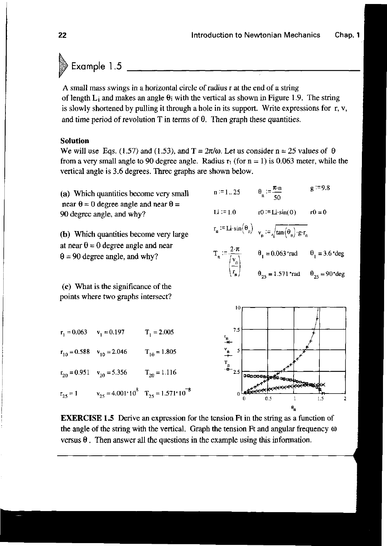# **Example 1.5**

A small mass swings in a horizontal circle of radius r at the end of a string of length  $L_i$  and makes an angle  $\theta_i$  with the vertical as shown in Figure 1.9. The string is slowly shortened by pulling it through a hole in its support. Write expressions for r, v, and time period of revolution  $T$  in terms of  $\theta$ . Then graph these quantities.

# **Solution**

We will use Eqs. (1.57) and (1.53), and  $T = 2\pi/(\omega)$ . Let us consider  $n = 25$  values of  $\theta$ from a very small angle to 90 degree angle. Radius  $r_1$  (for  $n = 1$ ) is 0.063 meter, while the vertical angle is 3.6 degrees. Three graphs are shown below.

(a) Which quantities become very small near  $\theta = 0$  degree angle and near  $\theta =$ 90 degree angle, and why?

(b) Which quantities become very large at near  $\theta = 0$  degree angle and near  $\theta$  = 90 degree angle, and why?

(c) What is the significance of the points where two graphs intersect?

 $r_1 = 0.063$   $v_1 = 0.197$   $T_1 = 2.005$ 

 $r_{10} = 0.588$   $v_{10} = 2.046$   $T_{10} = 1.805$ 

 $r_{20} = 0.951$   $v_{20} = 5.356$   $T_{20} = 1.116$ 

 $r_{25} = 1$   $v_{25} = 4.001 \cdot 10^{8}$   $T_{25} = 1.571 \cdot 10^{8}$ 





**EXERCISE 1.5** Derive an expression for the tension Ft in the string as a function of the angle of the string with the vertical. Graph the tension Ft and angular frequency  $\omega$ versus  $\theta$ . Then answer all the questions in the example using this information.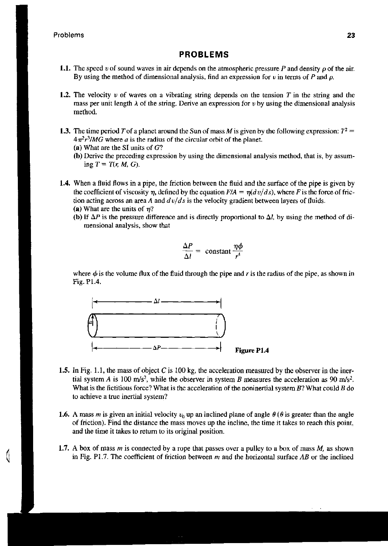1

#### **PROBLEMS**

- 1.1. The speed *v* of sound waves in air depends on the atmospheric pressure *P* and density *p* of the air. By using the method of dimensional analysis, find an expression for *v* in terms of *P* and *p.*
- 1.2. The velocity v of waves on a vibrating string depends on the tension  $T$  in the string and the mass per unit length  $\lambda$  of the string. Derive an expression for v by using the dimensional analysis method.
- 1.3. The time period *T* of a planet around the Sun of mass *M* is given by the following expression: *T<sup>2</sup> =*  $4\pi^2 r^3/MG$  where *a* is the radius of the circular orbit of the planet.
	- (a) What are the SI units of  $G$ ?
	- (b) Derive the preceding expression by using the dimensional analysis method, that is, by assuming  $T = T(r, M, G)$ .
- 1.4. When a fluid flows in a pipe, the friction between the fluid and the surface of the pipe is given by the coefficient of viscosity  $\eta$ , defined by the equation  $F/A = \eta (dv/ds)$ , where F is the force of friction acting across an area A and *dv/ds* is the velocity gradient between layers of fluids. (a) What are the units of  $\eta$ ?
	- (b) If  $\Delta P$  is the pressure difference and is directly proportional to  $\Delta l$ , by using the method of dimensional analysis, show that

$$
\frac{\Delta P}{\Delta l} = \text{ constant } \frac{\eta \phi}{r^4}
$$

where  $\phi$  is the volume flux of the fluid through the pipe and r is the radius of the pipe, as shown in Fig. PI.4.



- 1.5. In Fig. 1.1, the mass of object C is 100 kg, the acceleration measured by the observer in the inertial system A is 100 m/s<sup>2</sup>, while the observer in system B measures the acceleration as 90 m/s<sup>2</sup>. What is the fictitious force? What is the acceleration of the noninertial system B? What could B do to achieve a true inertial system?
- 1.6. A mass *m* is given an initial velocity  $v_0$  up an inclined plane of angle  $\theta$  ( $\theta$  is greater than the angle of friction). Find the distance the mass moves up the incline, the time it takes to reach this point, and the time it takes to return to its original position.
- 1.7. A box of mass *m* is connected by a rope that passes over a pulley to a box of mass *M,* as shown in Fig. PI.7. The coefficient of friction between *m* and the horizontal surface *AB* or the inclined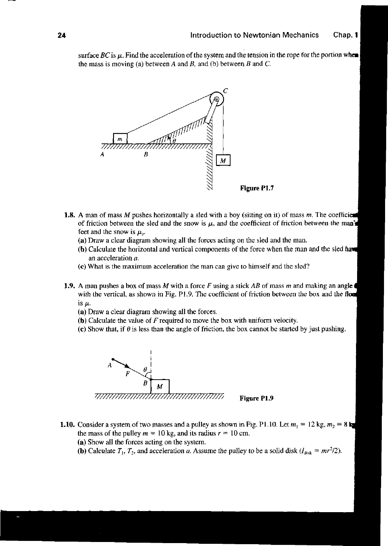surface  $BC$  is  $\mu$ . Find the acceleration of the system and the tension in the rope for the portion when the mass is moving (a) between A and *B,* and (b) between *B* and C.



- **1.8.** A man of mass *M* pushes horizontally a sled with a boy (sitting on it) of mass *m*. The coefficient of friction between the sled and the snow is  $\mu$ , and the coefficient of friction between the man's feet and the snow is  $\mu_{s}$ .
	- (a) Draw a clear diagram showing all the forces acting on the sled and the man.
	- (b) Calculate the horizontal and vertical components of the force when the man and the sled have an acceleration *a.*
	- (c) What is the maximum acceleration the man can give to himself and the sled?
- 1.9. A man pushes a box of mass *M* with a force *F* using a stick *AB* of mass *m* and making an ai with the vertical, as shown in Fig. P1.9. The coefficient of friction between the box and the flow is *fi.*
	- (a) Draw a clear diagram showing all the forces.
	- (b) Calculate the value of *F* required to move the box with uniform velocity.
	- (c) Show that, if  $\theta$  is less than the angle of friction, the box cannot be started by just pushing.



**1.10.** Consider a system of two masses and a pulley as shown in Fig. P1.10. Let  $m_1 = 12$  kg,  $m_2 = 8$  kg the mass of the pulley  $m = 10$  kg, and its radius  $r = 10$  cm.

(a) Show all the forces acting on the system.

**(b)** Calculate  $T_1$ ,  $T_2$ , and acceleration a. Assume the pulley to be a solid disk  $(I_{disk} = mr^2/2)$ .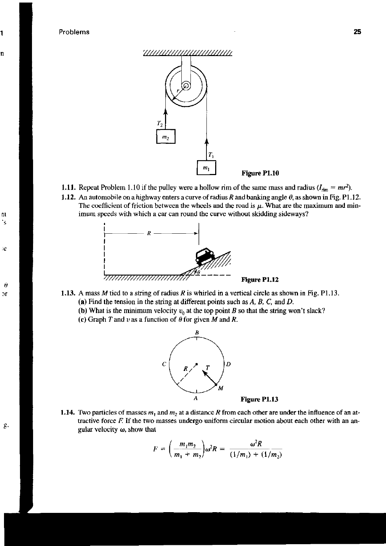Problems 25 and 25 and 25 and 25 and 26 and 26 and 26 and 26 and 26 and 26 and 26 and 26 and 26 and 26 and 26

1

n

Ωt ۰,

ie

Ĥ  $\mathfrak{R}$ 

g.



- **1.11.** Repeat Problem 1.10 if the pulley were a hollow rim of the same mass and radius  $(I_{\text{rim}} = mr^2)$ .
- **1.12.** An automobile on a highway enters a curve of radius *R* and banking angle *0,* as shown in Fig. PI. 12. The coefficient of friction between the wheels and the road is  $\mu$ . What are the maximum and minimum speeds with which a car can round the curve without skidding sideways?



- **1.13.** A mass *M* tied to a string of radius *R* is whirled in a vertical circle as shown in Fig. PI.13. (a) Find the tension in the string at different points such as *A, B, C,* and *D.*
	- (b) What is the minimum velocity  $v_0$  at the top point *B* so that the string won't slack?
	- (c) Graph *T* and *v* as a function of *6* for given *M* and *R.*



**1.14.** Two particles of masses m, and *m2* at a distance *R* from each other are under the influence of an attractive force *F.* If the two masses undergo uniform circular motion about each other with an angular velocity  $\omega$ , show that

$$
F = \left(\frac{m_1 m_2}{m_1 + m_2}\right) \omega^2 R = \frac{\omega^2 R}{(1/m_1) + (1/m_2)}
$$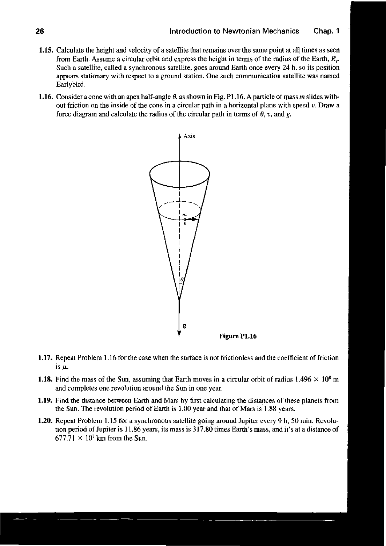- **1.15.** Calculate the height and velocity of a satellite that remains over the same point at all times as seen from Earth. Assume a circular orbit and express the height in terms of the radius of the Earth, *Re.* Such a satellite, called a synchronous satellite, goes around Earth once every 24 h, so its position appears stationary with respect to a ground station. One such communication satellite was named Earlybird.
- **1.16.** Consider a cone with an apex half-angle *6,* as shown in Fig. PI. 16. A particle of mass *m* slides without friction on the inside of the cone in a circular path in a horizontal plane with speed *v.* Draw a force diagram and calculate the radius of the circular path in terms of *6, v,* and *g.*



- **1.17.** Repeat Problem 1.16 for the case when the surface is not frictionless and the coefficient of friction is  $\mu$ .
- **1.18.** Find the mass of the Sun, assuming that Earth moves in a circular orbit of radius  $1.496 \times 10^8$  m and completes one revolution around the Sun in one year.
- **1.19.** Find the distance between Earth and Mars by first calculating the distances of these planets from the Sun. The revolution period of Earth is 1.00 year and that of Mars is 1.88 years.
- **1.20.** Repeat Problem 1.15 for a synchronous satellite going around Jupiter every 9 h, 50 min. Revolution period of Jupiter is 11.86 years, its mass is 317.80 times Earth's mass, and it's at a distance of  $677.71 \times 10^7$  km from the Sun.